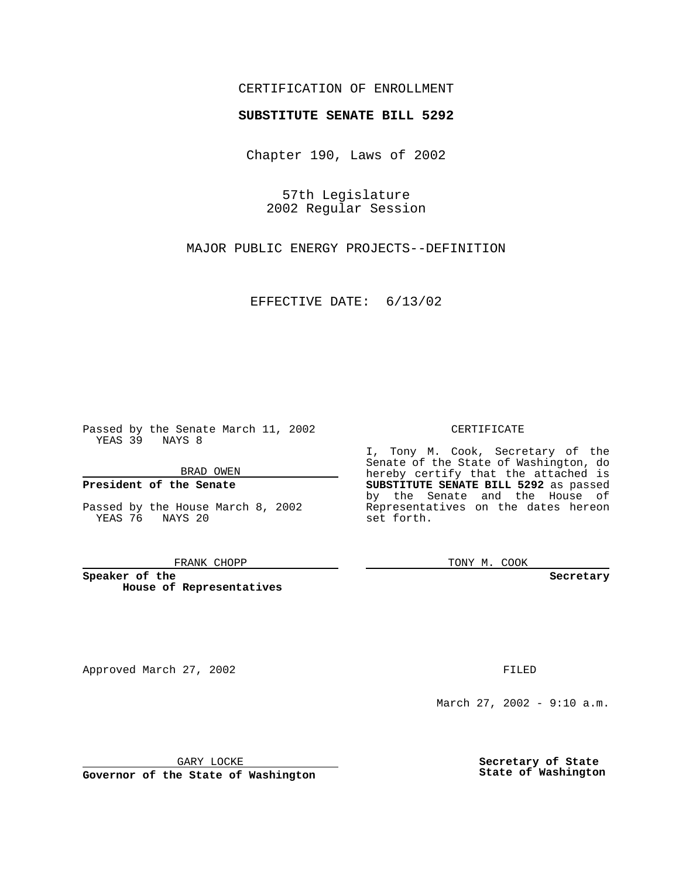## CERTIFICATION OF ENROLLMENT

# **SUBSTITUTE SENATE BILL 5292**

Chapter 190, Laws of 2002

57th Legislature 2002 Regular Session

MAJOR PUBLIC ENERGY PROJECTS--DEFINITION

EFFECTIVE DATE: 6/13/02

Passed by the Senate March 11, 2002 YEAS 39 NAYS 8

BRAD OWEN

## **President of the Senate**

Passed by the House March 8, 2002 YEAS 76 NAYS 20

#### FRANK CHOPP

**Speaker of the House of Representatives**

Approved March 27, 2002 **FILED** 

#### CERTIFICATE

I, Tony M. Cook, Secretary of the Senate of the State of Washington, do hereby certify that the attached is **SUBSTITUTE SENATE BILL 5292** as passed by the Senate and the House of Representatives on the dates hereon set forth.

TONY M. COOK

**Secretary**

March 27, 2002 - 9:10 a.m.

GARY LOCKE

**Governor of the State of Washington**

**Secretary of State State of Washington**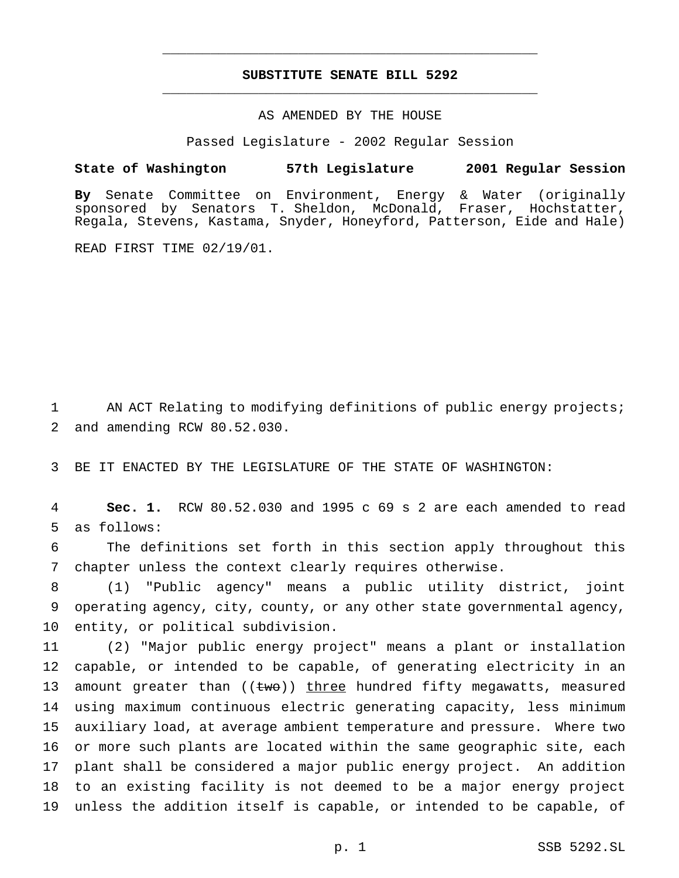## **SUBSTITUTE SENATE BILL 5292** \_\_\_\_\_\_\_\_\_\_\_\_\_\_\_\_\_\_\_\_\_\_\_\_\_\_\_\_\_\_\_\_\_\_\_\_\_\_\_\_\_\_\_\_\_\_\_

\_\_\_\_\_\_\_\_\_\_\_\_\_\_\_\_\_\_\_\_\_\_\_\_\_\_\_\_\_\_\_\_\_\_\_\_\_\_\_\_\_\_\_\_\_\_\_

## AS AMENDED BY THE HOUSE

Passed Legislature - 2002 Regular Session

### **State of Washington 57th Legislature 2001 Regular Session**

**By** Senate Committee on Environment, Energy & Water (originally sponsored by Senators T. Sheldon, McDonald, Fraser, Hochstatter, Regala, Stevens, Kastama, Snyder, Honeyford, Patterson, Eide and Hale)

READ FIRST TIME 02/19/01.

1 AN ACT Relating to modifying definitions of public energy projects; 2 and amending RCW 80.52.030.

3 BE IT ENACTED BY THE LEGISLATURE OF THE STATE OF WASHINGTON:

4 **Sec. 1.** RCW 80.52.030 and 1995 c 69 s 2 are each amended to read 5 as follows:

6 The definitions set forth in this section apply throughout this 7 chapter unless the context clearly requires otherwise.

8 (1) "Public agency" means a public utility district, joint 9 operating agency, city, county, or any other state governmental agency, 10 entity, or political subdivision.

 (2) "Major public energy project" means a plant or installation capable, or intended to be capable, of generating electricity in an 13 amount greater than  $((tw\sigma))$  three hundred fifty megawatts, measured using maximum continuous electric generating capacity, less minimum auxiliary load, at average ambient temperature and pressure. Where two or more such plants are located within the same geographic site, each plant shall be considered a major public energy project. An addition to an existing facility is not deemed to be a major energy project unless the addition itself is capable, or intended to be capable, of